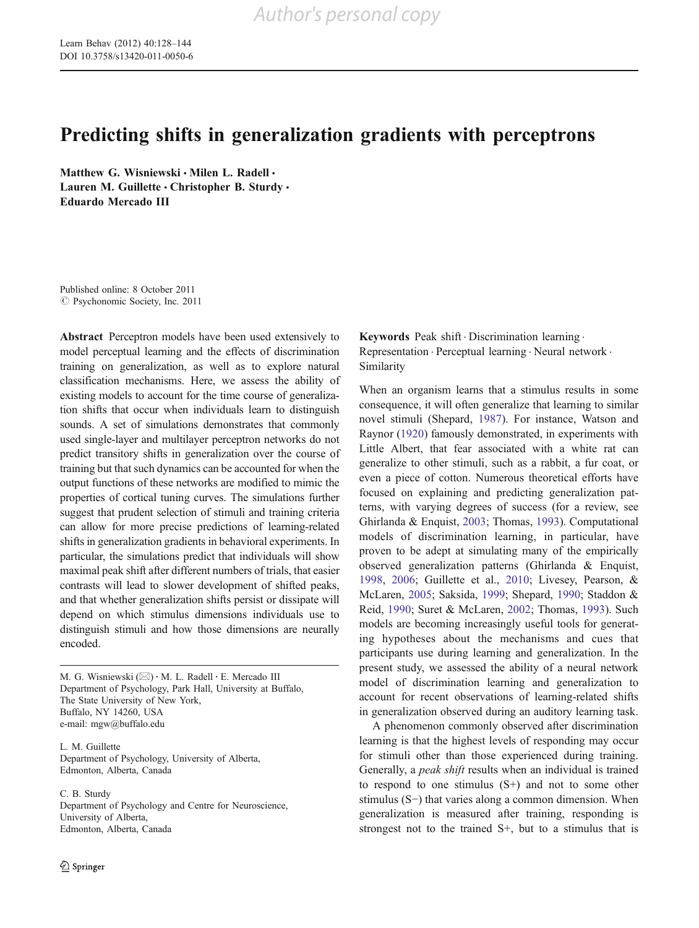# Predicting shifts in generalization gradients with perceptrons

Matthew G. Wisniewski · Milen L. Radell · Lauren M. Guillette · Christopher B. Sturdy · Eduardo Mercado III

Published online: 8 October 2011  $\odot$  Psychonomic Society, Inc. 2011

Abstract Perceptron models have been used extensively to model perceptual learning and the effects of discrimination training on generalization, as well as to explore natural classification mechanisms. Here, we assess the ability of existing models to account for the time course of generalization shifts that occur when individuals learn to distinguish sounds. A set of simulations demonstrates that commonly used single-layer and multilayer perceptron networks do not predict transitory shifts in generalization over the course of training but that such dynamics can be accounted for when the output functions of these networks are modified to mimic the properties of cortical tuning curves. The simulations further suggest that prudent selection of stimuli and training criteria can allow for more precise predictions of learning-related shifts in generalization gradients in behavioral experiments. In particular, the simulations predict that individuals will show maximal peak shift after different numbers of trials, that easier contrasts will lead to slower development of shifted peaks, and that whether generalization shifts persist or dissipate will depend on which stimulus dimensions individuals use to distinguish stimuli and how those dimensions are neurally encoded.

M. G. Wisniewski ( $\boxtimes$ ) · M. L. Radell · E. Mercado III Department of Psychology, Park Hall, University at Buffalo, The State University of New York, Buffalo, NY 14260, USA e-mail: mgw@buffalo.edu

L. M. Guillette Department of Psychology, University of Alberta, Edmonton, Alberta, Canada

C. B. Sturdy Department of Psychology and Centre for Neuroscience, University of Alberta, Edmonton, Alberta, Canada

Keywords Peak shift . Discrimination learning . Representation . Perceptual learning . Neural network . Similarity

When an organism learns that a stimulus results in some consequence, it will often generalize that learning to similar novel stimuli (Shepard, [1987\)](#page-16-0). For instance, Watson and Raynor [\(1920](#page-16-0)) famously demonstrated, in experiments with Little Albert, that fear associated with a white rat can generalize to other stimuli, such as a rabbit, a fur coat, or even a piece of cotton. Numerous theoretical efforts have focused on explaining and predicting generalization patterns, with varying degrees of success (for a review, see Ghirlanda & Enquist, [2003](#page-15-0); Thomas, [1993\)](#page-16-0). Computational models of discrimination learning, in particular, have proven to be adept at simulating many of the empirically observed generalization patterns (Ghirlanda & Enquist, [1998](#page-15-0), [2006;](#page-15-0) Guillette et al., [2010](#page-15-0); Livesey, Pearson, & McLaren, [2005](#page-15-0); Saksida, [1999;](#page-16-0) Shepard, [1990;](#page-16-0) Staddon & Reid, [1990](#page-16-0); Suret & McLaren, [2002](#page-16-0); Thomas, [1993\)](#page-16-0). Such models are becoming increasingly useful tools for generating hypotheses about the mechanisms and cues that participants use during learning and generalization. In the present study, we assessed the ability of a neural network model of discrimination learning and generalization to account for recent observations of learning-related shifts in generalization observed during an auditory learning task.

A phenomenon commonly observed after discrimination learning is that the highest levels of responding may occur for stimuli other than those experienced during training. Generally, a peak shift results when an individual is trained to respond to one stimulus (S+) and not to some other stimulus (S−) that varies along a common dimension. When generalization is measured after training, responding is strongest not to the trained S+, but to a stimulus that is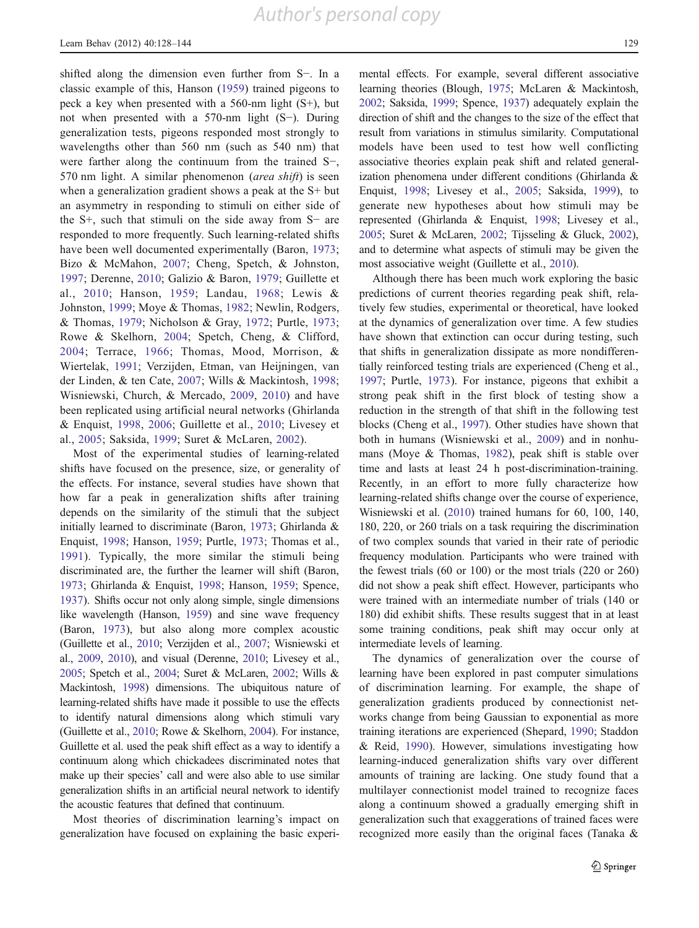shifted along the dimension even further from S−. In a classic example of this, Hanson ([1959](#page-15-0)) trained pigeons to peck a key when presented with a 560-nm light (S+), but not when presented with a 570-nm light (S−). During generalization tests, pigeons responded most strongly to wavelengths other than 560 nm (such as 540 nm) that were farther along the continuum from the trained S−, 570 nm light. A similar phenomenon (area shift) is seen when a generalization gradient shows a peak at the S+ but an asymmetry in responding to stimuli on either side of the S+, such that stimuli on the side away from S− are responded to more frequently. Such learning-related shifts have been well documented experimentally (Baron, [1973](#page-15-0); Bizo & McMahon, [2007](#page-15-0); Cheng, Spetch, & Johnston, [1997](#page-15-0); Derenne, [2010](#page-15-0); Galizio & Baron, [1979;](#page-15-0) Guillette et al., [2010;](#page-15-0) Hanson, [1959](#page-15-0); Landau, [1968](#page-15-0); Lewis & Johnston, [1999;](#page-15-0) Moye & Thomas, [1982;](#page-15-0) Newlin, Rodgers, & Thomas, [1979](#page-15-0); Nicholson & Gray, [1972;](#page-16-0) Purtle, [1973](#page-16-0); Rowe & Skelhorn, [2004](#page-16-0); Spetch, Cheng, & Clifford, [2004](#page-16-0); Terrace, [1966;](#page-16-0) Thomas, Mood, Morrison, & Wiertelak, [1991;](#page-16-0) Verzijden, Etman, van Heijningen, van der Linden, & ten Cate, [2007;](#page-16-0) Wills & Mackintosh, [1998](#page-16-0); Wisniewski, Church, & Mercado, [2009,](#page-16-0) [2010\)](#page-16-0) and have been replicated using artificial neural networks (Ghirlanda & Enquist, [1998](#page-15-0), [2006;](#page-15-0) Guillette et al., [2010;](#page-15-0) Livesey et al., [2005](#page-15-0); Saksida, [1999;](#page-16-0) Suret & McLaren, [2002\)](#page-16-0).

Most of the experimental studies of learning-related shifts have focused on the presence, size, or generality of the effects. For instance, several studies have shown that how far a peak in generalization shifts after training depends on the similarity of the stimuli that the subject initially learned to discriminate (Baron, [1973;](#page-15-0) Ghirlanda & Enquist, [1998](#page-15-0); Hanson, [1959;](#page-15-0) Purtle, [1973](#page-16-0); Thomas et al., [1991\)](#page-16-0). Typically, the more similar the stimuli being discriminated are, the further the learner will shift (Baron, [1973;](#page-15-0) Ghirlanda & Enquist, [1998;](#page-15-0) Hanson, [1959;](#page-15-0) Spence, [1937\)](#page-16-0). Shifts occur not only along simple, single dimensions like wavelength (Hanson, [1959](#page-15-0)) and sine wave frequency (Baron, [1973](#page-15-0)), but also along more complex acoustic (Guillette et al., [2010;](#page-15-0) Verzijden et al., [2007](#page-16-0); Wisniewski et al., [2009,](#page-16-0) [2010](#page-16-0)), and visual (Derenne, [2010](#page-15-0); Livesey et al., [2005](#page-15-0); Spetch et al., [2004;](#page-16-0) Suret & McLaren, [2002;](#page-16-0) Wills & Mackintosh, [1998\)](#page-16-0) dimensions. The ubiquitous nature of learning-related shifts have made it possible to use the effects to identify natural dimensions along which stimuli vary (Guillette et al., [2010](#page-15-0); Rowe & Skelhorn, [2004\)](#page-16-0). For instance, Guillette et al. used the peak shift effect as a way to identify a continuum along which chickadees discriminated notes that make up their species' call and were also able to use similar generalization shifts in an artificial neural network to identify the acoustic features that defined that continuum.

Most theories of discrimination learning's impact on generalization have focused on explaining the basic experimental effects. For example, several different associative learning theories (Blough, [1975](#page-15-0); McLaren & Mackintosh, [2002;](#page-15-0) Saksida, [1999;](#page-16-0) Spence, [1937\)](#page-16-0) adequately explain the direction of shift and the changes to the size of the effect that result from variations in stimulus similarity. Computational models have been used to test how well conflicting associative theories explain peak shift and related generalization phenomena under different conditions (Ghirlanda & Enquist, [1998;](#page-15-0) Livesey et al., [2005;](#page-15-0) Saksida, [1999](#page-16-0)), to generate new hypotheses about how stimuli may be represented (Ghirlanda & Enquist, [1998;](#page-15-0) Livesey et al., [2005;](#page-15-0) Suret & McLaren, [2002](#page-16-0); Tijsseling & Gluck, [2002\)](#page-16-0), and to determine what aspects of stimuli may be given the most associative weight (Guillette et al., [2010\)](#page-15-0).

Although there has been much work exploring the basic predictions of current theories regarding peak shift, relatively few studies, experimental or theoretical, have looked at the dynamics of generalization over time. A few studies have shown that extinction can occur during testing, such that shifts in generalization dissipate as more nondifferentially reinforced testing trials are experienced (Cheng et al., [1997](#page-15-0); Purtle, [1973](#page-16-0)). For instance, pigeons that exhibit a strong peak shift in the first block of testing show a reduction in the strength of that shift in the following test blocks (Cheng et al., [1997](#page-15-0)). Other studies have shown that both in humans (Wisniewski et al., [2009\)](#page-16-0) and in nonhumans (Moye & Thomas, [1982](#page-15-0)), peak shift is stable over time and lasts at least 24 h post-discrimination-training. Recently, in an effort to more fully characterize how learning-related shifts change over the course of experience, Wisniewski et al. ([2010](#page-16-0)) trained humans for 60, 100, 140, 180, 220, or 260 trials on a task requiring the discrimination of two complex sounds that varied in their rate of periodic frequency modulation. Participants who were trained with the fewest trials (60 or 100) or the most trials (220 or 260) did not show a peak shift effect. However, participants who were trained with an intermediate number of trials (140 or 180) did exhibit shifts. These results suggest that in at least some training conditions, peak shift may occur only at intermediate levels of learning.

The dynamics of generalization over the course of learning have been explored in past computer simulations of discrimination learning. For example, the shape of generalization gradients produced by connectionist networks change from being Gaussian to exponential as more training iterations are experienced (Shepard, [1990](#page-16-0); Staddon & Reid, [1990](#page-16-0)). However, simulations investigating how learning-induced generalization shifts vary over different amounts of training are lacking. One study found that a multilayer connectionist model trained to recognize faces along a continuum showed a gradually emerging shift in generalization such that exaggerations of trained faces were recognized more easily than the original faces (Tanaka &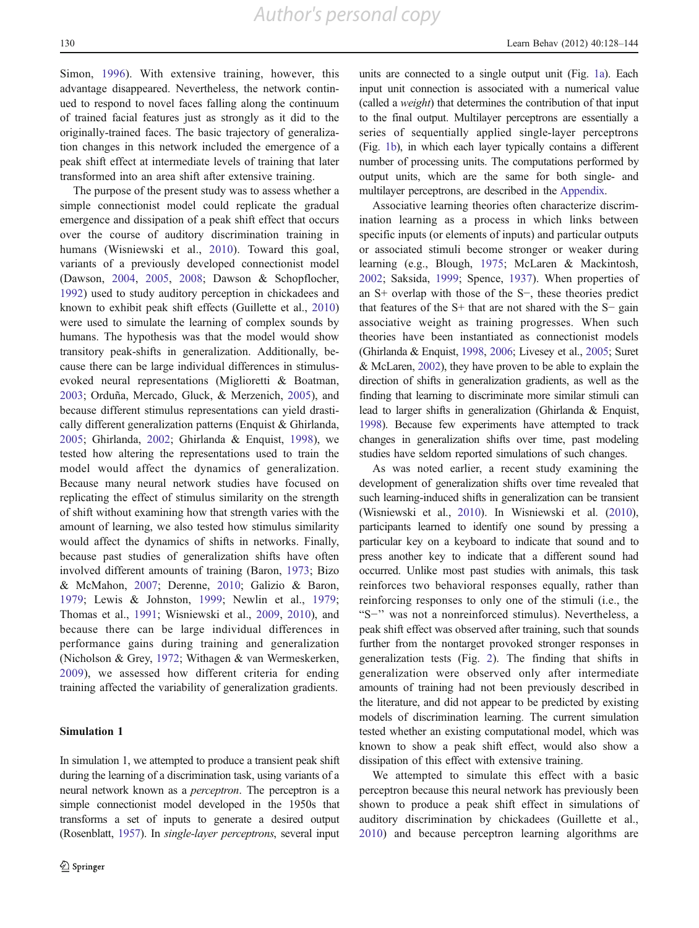Simon, [1996\)](#page-16-0). With extensive training, however, this advantage disappeared. Nevertheless, the network continued to respond to novel faces falling along the continuum of trained facial features just as strongly as it did to the originally-trained faces. The basic trajectory of generalization changes in this network included the emergence of a peak shift effect at intermediate levels of training that later transformed into an area shift after extensive training.

The purpose of the present study was to assess whether a simple connectionist model could replicate the gradual emergence and dissipation of a peak shift effect that occurs over the course of auditory discrimination training in humans (Wisniewski et al., [2010\)](#page-16-0). Toward this goal, variants of a previously developed connectionist model (Dawson, [2004](#page-15-0), [2005](#page-15-0), [2008;](#page-15-0) Dawson & Schopflocher, [1992\)](#page-15-0) used to study auditory perception in chickadees and known to exhibit peak shift effects (Guillette et al., [2010\)](#page-15-0) were used to simulate the learning of complex sounds by humans. The hypothesis was that the model would show transitory peak-shifts in generalization. Additionally, because there can be large individual differences in stimulusevoked neural representations (Miglioretti & Boatman, [2003;](#page-15-0) Orduña, Mercado, Gluck, & Merzenich, [2005](#page-16-0)), and because different stimulus representations can yield drastically different generalization patterns (Enquist & Ghirlanda, [2005;](#page-15-0) Ghirlanda, [2002](#page-15-0); Ghirlanda & Enquist, [1998](#page-15-0)), we tested how altering the representations used to train the model would affect the dynamics of generalization. Because many neural network studies have focused on replicating the effect of stimulus similarity on the strength of shift without examining how that strength varies with the amount of learning, we also tested how stimulus similarity would affect the dynamics of shifts in networks. Finally, because past studies of generalization shifts have often involved different amounts of training (Baron, [1973;](#page-15-0) Bizo & McMahon, [2007](#page-15-0); Derenne, [2010](#page-15-0); Galizio & Baron, [1979](#page-15-0); Lewis & Johnston, [1999;](#page-15-0) Newlin et al., [1979](#page-15-0); Thomas et al., [1991](#page-16-0); Wisniewski et al., [2009,](#page-16-0) [2010\)](#page-16-0), and because there can be large individual differences in performance gains during training and generalization (Nicholson & Grey, [1972;](#page-16-0) Withagen & van Wermeskerken, [2009](#page-16-0)), we assessed how different criteria for ending training affected the variability of generalization gradients.

## Simulation 1

In simulation 1, we attempted to produce a transient peak shift during the learning of a discrimination task, using variants of a neural network known as a perceptron. The perceptron is a simple connectionist model developed in the 1950s that transforms a set of inputs to generate a desired output (Rosenblatt, [1957\)](#page-16-0). In single-layer perceptrons, several input units are connected to a single output unit (Fig. [1a](#page-3-0)). Each input unit connection is associated with a numerical value (called a weight) that determines the contribution of that input to the final output. Multilayer perceptrons are essentially a series of sequentially applied single-layer perceptrons (Fig. [1b\)](#page-3-0), in which each layer typically contains a different number of processing units. The computations performed by output units, which are the same for both single- and multilayer perceptrons, are described in the [Appendix](#page-14-0).

Associative learning theories often characterize discrimination learning as a process in which links between specific inputs (or elements of inputs) and particular outputs or associated stimuli become stronger or weaker during learning (e.g., Blough, [1975](#page-15-0); McLaren & Mackintosh, [2002](#page-15-0); Saksida, [1999](#page-16-0); Spence, [1937\)](#page-16-0). When properties of an S+ overlap with those of the S−, these theories predict that features of the S+ that are not shared with the S− gain associative weight as training progresses. When such theories have been instantiated as connectionist models (Ghirlanda & Enquist, [1998](#page-15-0), [2006;](#page-15-0) Livesey et al., [2005;](#page-15-0) Suret & McLaren, [2002](#page-16-0)), they have proven to be able to explain the direction of shifts in generalization gradients, as well as the finding that learning to discriminate more similar stimuli can lead to larger shifts in generalization (Ghirlanda & Enquist, [1998](#page-15-0)). Because few experiments have attempted to track changes in generalization shifts over time, past modeling studies have seldom reported simulations of such changes.

As was noted earlier, a recent study examining the development of generalization shifts over time revealed that such learning-induced shifts in generalization can be transient (Wisniewski et al., [2010\)](#page-16-0). In Wisniewski et al. [\(2010\)](#page-16-0), participants learned to identify one sound by pressing a particular key on a keyboard to indicate that sound and to press another key to indicate that a different sound had occurred. Unlike most past studies with animals, this task reinforces two behavioral responses equally, rather than reinforcing responses to only one of the stimuli (i.e., the "S−'' was not a nonreinforced stimulus). Nevertheless, a peak shift effect was observed after training, such that sounds further from the nontarget provoked stronger responses in generalization tests (Fig. [2\)](#page-3-0). The finding that shifts in generalization were observed only after intermediate amounts of training had not been previously described in the literature, and did not appear to be predicted by existing models of discrimination learning. The current simulation tested whether an existing computational model, which was known to show a peak shift effect, would also show a dissipation of this effect with extensive training.

We attempted to simulate this effect with a basic perceptron because this neural network has previously been shown to produce a peak shift effect in simulations of auditory discrimination by chickadees (Guillette et al., [2010](#page-15-0)) and because perceptron learning algorithms are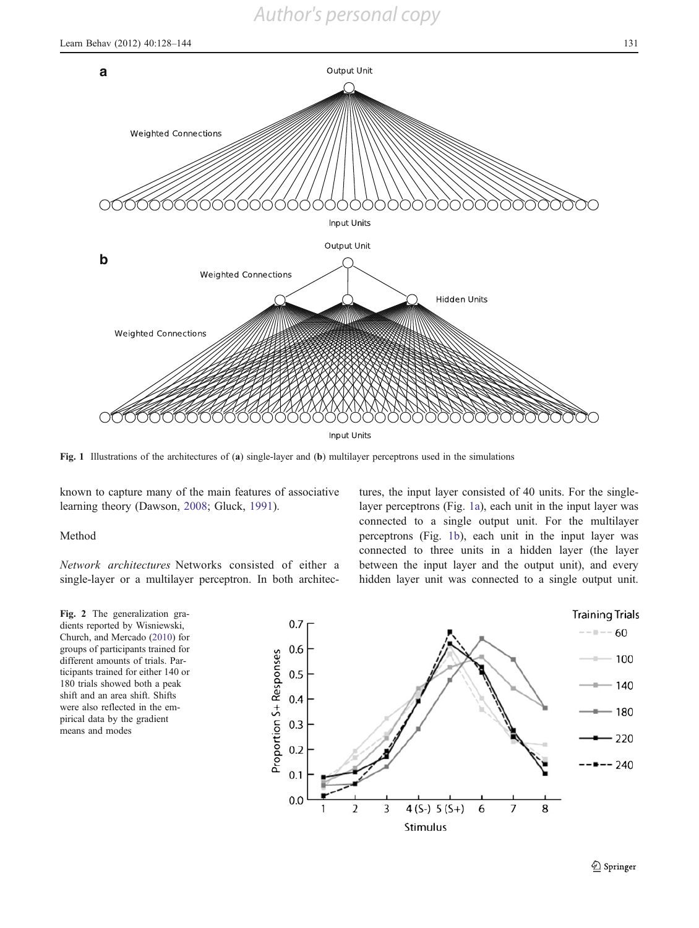

Fig. 1 Illustrations of the architectures of (a) single-layer and (b) multilayer perceptrons used in the simulations

known to capture many of the main features of associative learning theory (Dawson, [2008;](#page-15-0) Gluck, [1991\)](#page-15-0).

Method

Network architectures Networks consisted of either a single-layer or a multilayer perceptron. In both architec-

<span id="page-3-0"></span>Fig. 2 The generalization gradients reported by Wisniewski, Church, and Mercado ([2010\)](#page-16-0) for groups of participants trained for different amounts of trials. Participants trained for either 140 or 180 trials showed both a peak shift and an area shift. Shifts were also reflected in the empirical data by the gradient means and modes

tures, the input layer consisted of 40 units. For the singlelayer perceptrons (Fig. [1a](#page-3-0)), each unit in the input layer was connected to a single output unit. For the multilayer perceptrons (Fig. [1b\)](#page-3-0), each unit in the input layer was connected to three units in a hidden layer (the layer between the input layer and the output unit), and every hidden layer unit was connected to a single output unit.

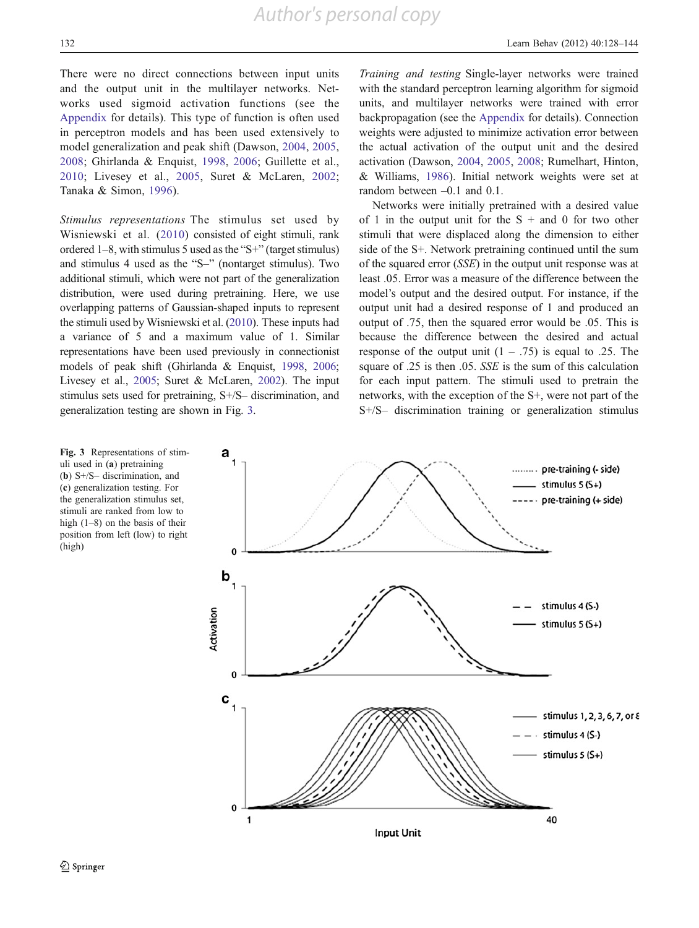There were no direct connections between input units and the output unit in the multilayer networks. Networks used sigmoid activation functions (see the [Appendix](#page-14-0) for details). This type of function is often used in perceptron models and has been used extensively to model generalization and peak shift (Dawson, [2004,](#page-15-0) [2005,](#page-15-0) [2008](#page-15-0); Ghirlanda & Enquist, [1998](#page-15-0), [2006](#page-15-0); Guillette et al., [2010](#page-15-0); Livesey et al., [2005,](#page-15-0) Suret & McLaren, [2002](#page-16-0); Tanaka & Simon, [1996](#page-16-0)).

Stimulus representations The stimulus set used by Wisniewski et al. ([2010](#page-16-0)) consisted of eight stimuli, rank ordered 1–8, with stimulus 5 used as the "S+" (target stimulus) and stimulus 4 used as the "S–" (nontarget stimulus). Two additional stimuli, which were not part of the generalization distribution, were used during pretraining. Here, we use overlapping patterns of Gaussian-shaped inputs to represent the stimuli used by Wisniewski et al. [\(2010](#page-16-0)). These inputs had a variance of 5 and a maximum value of 1. Similar representations have been used previously in connectionist models of peak shift (Ghirlanda & Enquist, [1998](#page-15-0), [2006](#page-15-0); Livesey et al., [2005](#page-15-0); Suret & McLaren, [2002](#page-16-0)). The input stimulus sets used for pretraining, S+/S– discrimination, and generalization testing are shown in Fig. [3.](#page-4-0)

Training and testing Single-layer networks were trained with the standard perceptron learning algorithm for sigmoid units, and multilayer networks were trained with error backpropagation (see the [Appendix](#page-14-0) for details). Connection weights were adjusted to minimize activation error between the actual activation of the output unit and the desired activation (Dawson, [2004,](#page-15-0) [2005](#page-15-0), [2008;](#page-15-0) Rumelhart, Hinton, & Williams, [1986\)](#page-16-0). Initial network weights were set at random between –0.1 and 0.1.

Networks were initially pretrained with a desired value of 1 in the output unit for the  $S +$  and 0 for two other stimuli that were displaced along the dimension to either side of the S+. Network pretraining continued until the sum of the squared error (SSE) in the output unit response was at least .05. Error was a measure of the difference between the model's output and the desired output. For instance, if the output unit had a desired response of 1 and produced an output of .75, then the squared error would be .05. This is because the difference between the desired and actual response of the output unit  $(1 - .75)$  is equal to .25. The square of .25 is then .05. SSE is the sum of this calculation for each input pattern. The stimuli used to pretrain the networks, with the exception of the S+, were not part of the S+/S– discrimination training or generalization stimulus

<span id="page-4-0"></span>

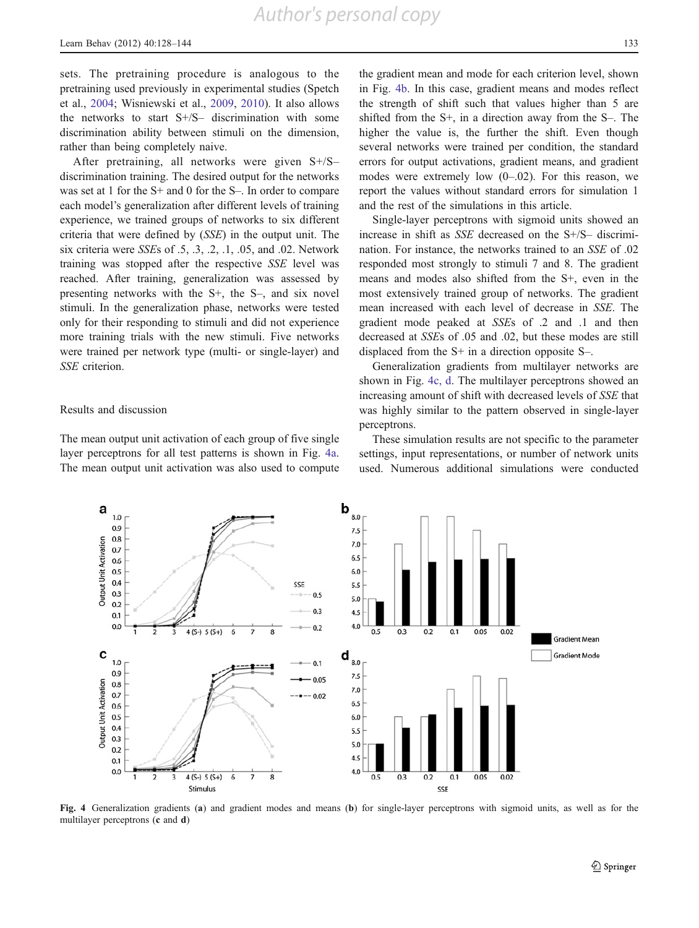sets. The pretraining procedure is analogous to the pretraining used previously in experimental studies (Spetch et al., [2004](#page-16-0); Wisniewski et al., [2009](#page-16-0), [2010](#page-16-0)). It also allows the networks to start S+/S– discrimination with some discrimination ability between stimuli on the dimension, rather than being completely naive.

After pretraining, all networks were given S+/S– discrimination training. The desired output for the networks was set at 1 for the S+ and 0 for the S-. In order to compare each model's generalization after different levels of training experience, we trained groups of networks to six different criteria that were defined by (SSE) in the output unit. The six criteria were SSEs of .5, .3, .2, .1, .05, and .02. Network training was stopped after the respective SSE level was reached. After training, generalization was assessed by presenting networks with the S+, the S–, and six novel stimuli. In the generalization phase, networks were tested only for their responding to stimuli and did not experience more training trials with the new stimuli. Five networks were trained per network type (multi- or single-layer) and SSE criterion.

#### Results and discussion

The mean output unit activation of each group of five single layer perceptrons for all test patterns is shown in Fig. [4a.](#page-5-0) The mean output unit activation was also used to compute

the gradient mean and mode for each criterion level, shown in Fig. [4b](#page-5-0). In this case, gradient means and modes reflect the strength of shift such that values higher than 5 are shifted from the S+, in a direction away from the S–. The higher the value is, the further the shift. Even though several networks were trained per condition, the standard errors for output activations, gradient means, and gradient modes were extremely low  $(0-.02)$ . For this reason, we report the values without standard errors for simulation 1 and the rest of the simulations in this article.

Single-layer perceptrons with sigmoid units showed an increase in shift as SSE decreased on the S+/S– discrimination. For instance, the networks trained to an SSE of .02 responded most strongly to stimuli 7 and 8. The gradient means and modes also shifted from the S+, even in the most extensively trained group of networks. The gradient mean increased with each level of decrease in SSE. The gradient mode peaked at SSEs of .2 and .1 and then decreased at SSEs of .05 and .02, but these modes are still displaced from the S+ in a direction opposite S–.

Generalization gradients from multilayer networks are shown in Fig. [4c, d.](#page-5-0) The multilayer perceptrons showed an increasing amount of shift with decreased levels of SSE that was highly similar to the pattern observed in single-layer perceptrons.

These simulation results are not specific to the parameter settings, input representations, or number of network units used. Numerous additional simulations were conducted



<span id="page-5-0"></span>Fig. 4 Generalization gradients (a) and gradient modes and means (b) for single-layer perceptrons with sigmoid units, as well as for the multilayer perceptrons (c and d)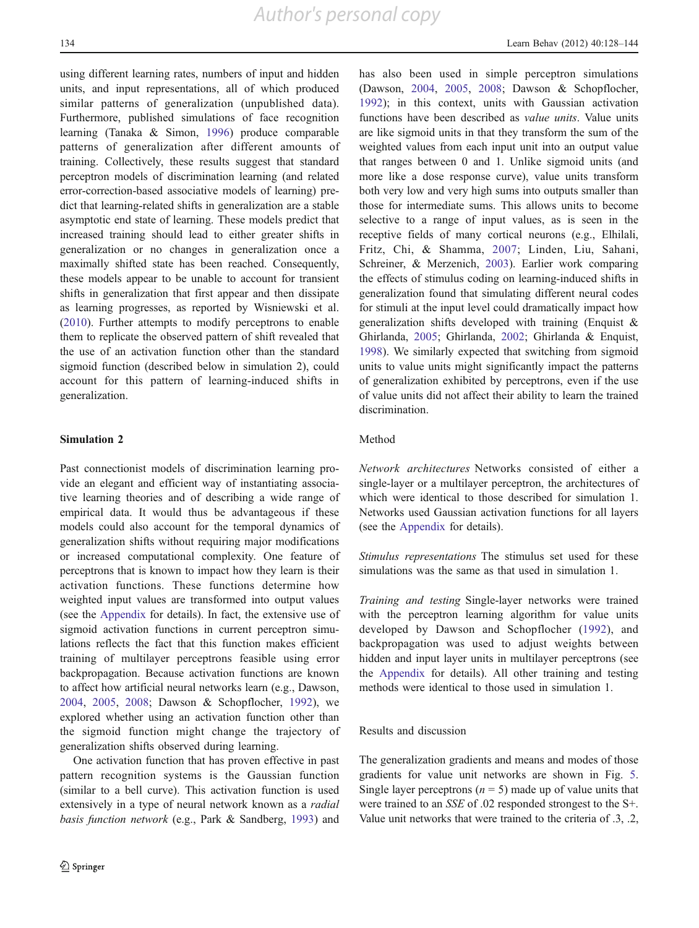using different learning rates, numbers of input and hidden units, and input representations, all of which produced similar patterns of generalization (unpublished data). Furthermore, published simulations of face recognition learning (Tanaka & Simon, [1996\)](#page-16-0) produce comparable patterns of generalization after different amounts of training. Collectively, these results suggest that standard perceptron models of discrimination learning (and related error-correction-based associative models of learning) predict that learning-related shifts in generalization are a stable asymptotic end state of learning. These models predict that increased training should lead to either greater shifts in generalization or no changes in generalization once a maximally shifted state has been reached. Consequently, these models appear to be unable to account for transient shifts in generalization that first appear and then dissipate as learning progresses, as reported by Wisniewski et al. [\(2010](#page-16-0)). Further attempts to modify perceptrons to enable them to replicate the observed pattern of shift revealed that the use of an activation function other than the standard sigmoid function (described below in simulation 2), could account for this pattern of learning-induced shifts in generalization.

#### Simulation 2

Past connectionist models of discrimination learning provide an elegant and efficient way of instantiating associative learning theories and of describing a wide range of empirical data. It would thus be advantageous if these models could also account for the temporal dynamics of generalization shifts without requiring major modifications or increased computational complexity. One feature of perceptrons that is known to impact how they learn is their activation functions. These functions determine how weighted input values are transformed into output values (see the [Appendix](#page-14-0) for details). In fact, the extensive use of sigmoid activation functions in current perceptron simulations reflects the fact that this function makes efficient training of multilayer perceptrons feasible using error backpropagation. Because activation functions are known to affect how artificial neural networks learn (e.g., Dawson, [2004,](#page-15-0) [2005,](#page-15-0) [2008;](#page-15-0) Dawson & Schopflocher, [1992](#page-15-0)), we explored whether using an activation function other than the sigmoid function might change the trajectory of generalization shifts observed during learning.

One activation function that has proven effective in past pattern recognition systems is the Gaussian function (similar to a bell curve). This activation function is used extensively in a type of neural network known as a *radial* basis function network (e.g., Park & Sandberg, [1993\)](#page-16-0) and has also been used in simple perceptron simulations (Dawson, [2004,](#page-15-0) [2005](#page-15-0), [2008;](#page-15-0) Dawson & Schopflocher, [1992](#page-15-0)); in this context, units with Gaussian activation functions have been described as value units. Value units are like sigmoid units in that they transform the sum of the weighted values from each input unit into an output value that ranges between 0 and 1. Unlike sigmoid units (and more like a dose response curve), value units transform both very low and very high sums into outputs smaller than those for intermediate sums. This allows units to become selective to a range of input values, as is seen in the receptive fields of many cortical neurons (e.g., Elhilali, Fritz, Chi, & Shamma, [2007;](#page-15-0) Linden, Liu, Sahani, Schreiner, & Merzenich, [2003\)](#page-15-0). Earlier work comparing the effects of stimulus coding on learning-induced shifts in generalization found that simulating different neural codes for stimuli at the input level could dramatically impact how generalization shifts developed with training (Enquist & Ghirlanda, [2005;](#page-15-0) Ghirlanda, [2002](#page-15-0); Ghirlanda & Enquist, [1998](#page-15-0)). We similarly expected that switching from sigmoid units to value units might significantly impact the patterns of generalization exhibited by perceptrons, even if the use of value units did not affect their ability to learn the trained discrimination.

#### Method

Network architectures Networks consisted of either a single-layer or a multilayer perceptron, the architectures of which were identical to those described for simulation 1. Networks used Gaussian activation functions for all layers (see the [Appendix](#page-14-0) for details).

Stimulus representations The stimulus set used for these simulations was the same as that used in simulation 1.

Training and testing Single-layer networks were trained with the perceptron learning algorithm for value units developed by Dawson and Schopflocher ([1992](#page-15-0)), and backpropagation was used to adjust weights between hidden and input layer units in multilayer perceptrons (see the [Appendix](#page-14-0) for details). All other training and testing methods were identical to those used in simulation 1.

Results and discussion

The generalization gradients and means and modes of those gradients for value unit networks are shown in Fig. [5.](#page-7-0) Single layer perceptrons ( $n = 5$ ) made up of value units that were trained to an SSE of .02 responded strongest to the S+. Value unit networks that were trained to the criteria of .3, .2,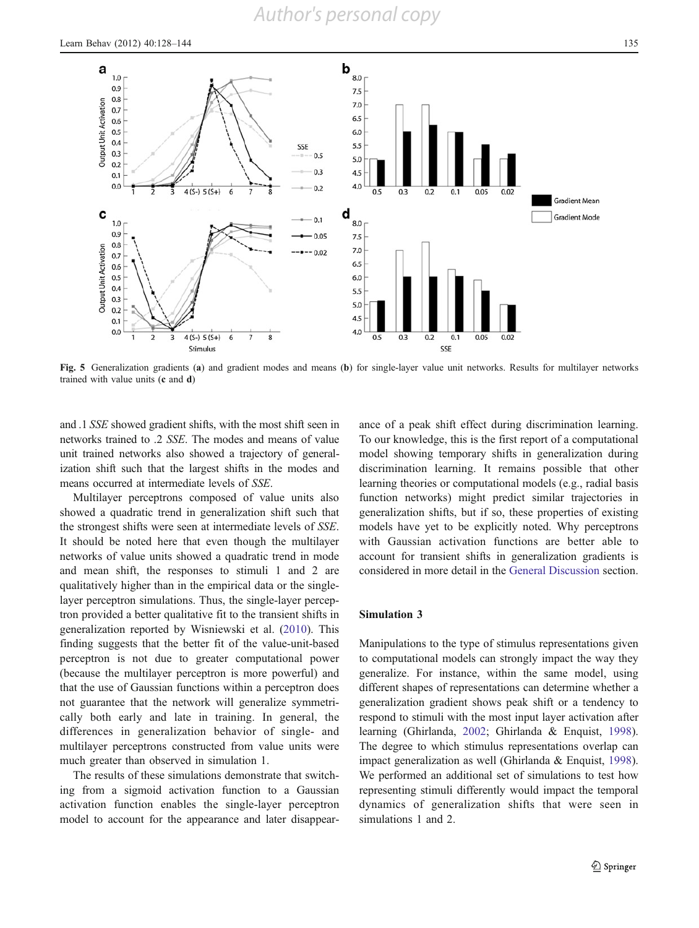

Fig. 5 Generalization gradients (a) and gradient modes and means (b) for single-layer value unit networks. Results for multilayer networks trained with value units (c and d)

and .1 SSE showed gradient shifts, with the most shift seen in networks trained to .2 SSE. The modes and means of value unit trained networks also showed a trajectory of generalization shift such that the largest shifts in the modes and means occurred at intermediate levels of SSE.

Multilayer perceptrons composed of value units also showed a quadratic trend in generalization shift such that the strongest shifts were seen at intermediate levels of SSE. It should be noted here that even though the multilayer networks of value units showed a quadratic trend in mode and mean shift, the responses to stimuli 1 and 2 are qualitatively higher than in the empirical data or the singlelayer perceptron simulations. Thus, the single-layer perceptron provided a better qualitative fit to the transient shifts in generalization reported by Wisniewski et al. ([2010\)](#page-16-0). This finding suggests that the better fit of the value-unit-based perceptron is not due to greater computational power (because the multilayer perceptron is more powerful) and that the use of Gaussian functions within a perceptron does not guarantee that the network will generalize symmetrically both early and late in training. In general, the differences in generalization behavior of single- and multilayer perceptrons constructed from value units were much greater than observed in simulation 1.

<span id="page-7-0"></span>The results of these simulations demonstrate that switching from a sigmoid activation function to a Gaussian activation function enables the single-layer perceptron model to account for the appearance and later disappearance of a peak shift effect during discrimination learning. To our knowledge, this is the first report of a computational model showing temporary shifts in generalization during discrimination learning. It remains possible that other learning theories or computational models (e.g., radial basis function networks) might predict similar trajectories in generalization shifts, but if so, these properties of existing models have yet to be explicitly noted. Why perceptrons with Gaussian activation functions are better able to account for transient shifts in generalization gradients is considered in more detail in the [General Discussion](#page-11-0) section.

## Simulation 3

Manipulations to the type of stimulus representations given to computational models can strongly impact the way they generalize. For instance, within the same model, using different shapes of representations can determine whether a generalization gradient shows peak shift or a tendency to respond to stimuli with the most input layer activation after learning (Ghirlanda, [2002](#page-15-0); Ghirlanda & Enquist, [1998\)](#page-15-0). The degree to which stimulus representations overlap can impact generalization as well (Ghirlanda & Enquist, [1998\)](#page-15-0). We performed an additional set of simulations to test how representing stimuli differently would impact the temporal dynamics of generalization shifts that were seen in simulations 1 and 2.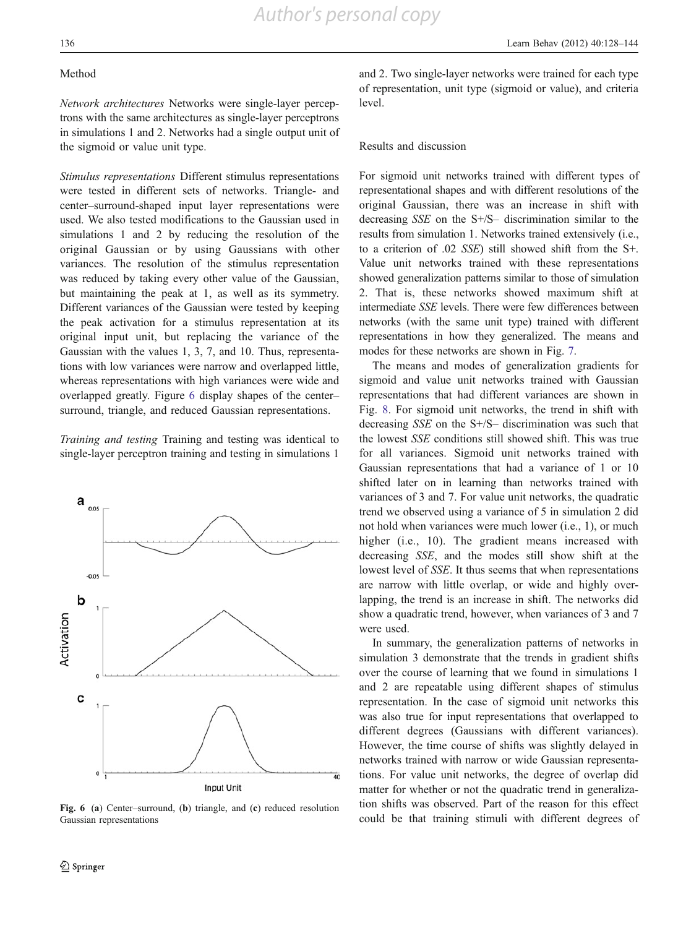#### Method

Network architectures Networks were single-layer perceptrons with the same architectures as single-layer perceptrons in simulations 1 and 2. Networks had a single output unit of the sigmoid or value unit type.

Stimulus representations Different stimulus representations were tested in different sets of networks. Triangle- and center–surround-shaped input layer representations were used. We also tested modifications to the Gaussian used in simulations 1 and 2 by reducing the resolution of the original Gaussian or by using Gaussians with other variances. The resolution of the stimulus representation was reduced by taking every other value of the Gaussian, but maintaining the peak at 1, as well as its symmetry. Different variances of the Gaussian were tested by keeping the peak activation for a stimulus representation at its original input unit, but replacing the variance of the Gaussian with the values 1, 3, 7, and 10. Thus, representations with low variances were narrow and overlapped little, whereas representations with high variances were wide and overlapped greatly. Figure [6](#page-8-0) display shapes of the center– surround, triangle, and reduced Gaussian representations.

Training and testing Training and testing was identical to single-layer perceptron training and testing in simulations 1



<span id="page-8-0"></span>Fig. 6 (a) Center–surround, (b) triangle, and (c) reduced resolution Gaussian representations

and 2. Two single-layer networks were trained for each type of representation, unit type (sigmoid or value), and criteria level.

#### Results and discussion

For sigmoid unit networks trained with different types of representational shapes and with different resolutions of the original Gaussian, there was an increase in shift with decreasing SSE on the S+/S– discrimination similar to the results from simulation 1. Networks trained extensively (i.e., to a criterion of .02 SSE) still showed shift from the S+. Value unit networks trained with these representations showed generalization patterns similar to those of simulation 2. That is, these networks showed maximum shift at intermediate SSE levels. There were few differences between networks (with the same unit type) trained with different representations in how they generalized. The means and modes for these networks are shown in Fig. [7](#page-9-0).

The means and modes of generalization gradients for sigmoid and value unit networks trained with Gaussian representations that had different variances are shown in Fig. [8.](#page-9-0) For sigmoid unit networks, the trend in shift with decreasing SSE on the S+/S– discrimination was such that the lowest SSE conditions still showed shift. This was true for all variances. Sigmoid unit networks trained with Gaussian representations that had a variance of 1 or 10 shifted later on in learning than networks trained with variances of 3 and 7. For value unit networks, the quadratic trend we observed using a variance of 5 in simulation 2 did not hold when variances were much lower (i.e., 1), or much higher (*i.e.*, 10). The gradient means increased with decreasing SSE, and the modes still show shift at the lowest level of SSE. It thus seems that when representations are narrow with little overlap, or wide and highly overlapping, the trend is an increase in shift. The networks did show a quadratic trend, however, when variances of 3 and 7 were used.

In summary, the generalization patterns of networks in simulation 3 demonstrate that the trends in gradient shifts over the course of learning that we found in simulations 1 and 2 are repeatable using different shapes of stimulus representation. In the case of sigmoid unit networks this was also true for input representations that overlapped to different degrees (Gaussians with different variances). However, the time course of shifts was slightly delayed in networks trained with narrow or wide Gaussian representations. For value unit networks, the degree of overlap did matter for whether or not the quadratic trend in generalization shifts was observed. Part of the reason for this effect could be that training stimuli with different degrees of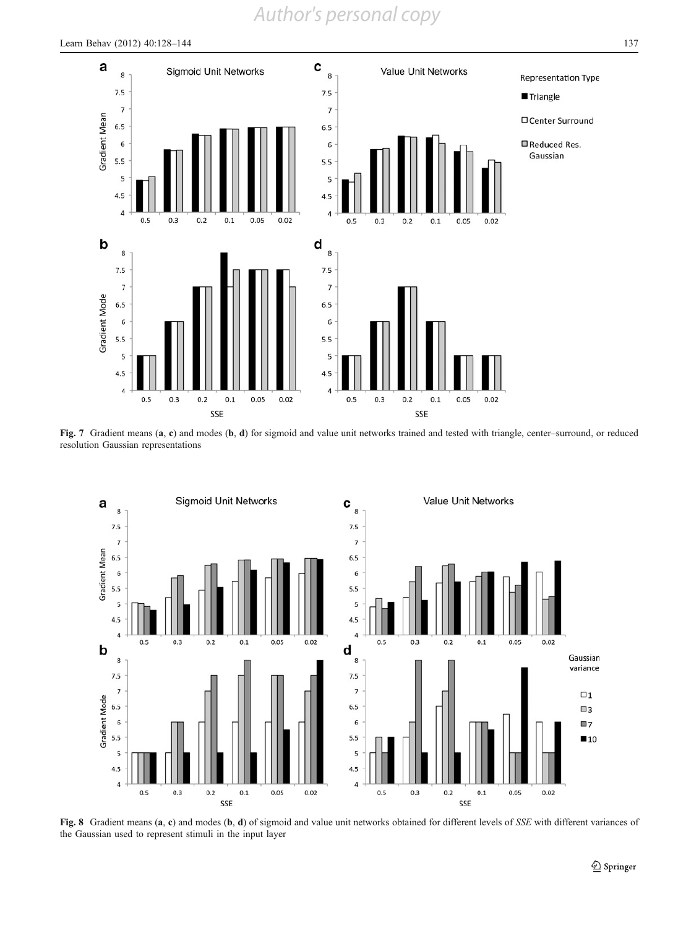

Fig. 7 Gradient means (a, c) and modes (b, d) for sigmoid and value unit networks trained and tested with triangle, center–surround, or reduced resolution Gaussian representations



<span id="page-9-0"></span>Fig. 8 Gradient means (a, c) and modes (b, d) of sigmoid and value unit networks obtained for different levels of SSE with different variances of the Gaussian used to represent stimuli in the input layer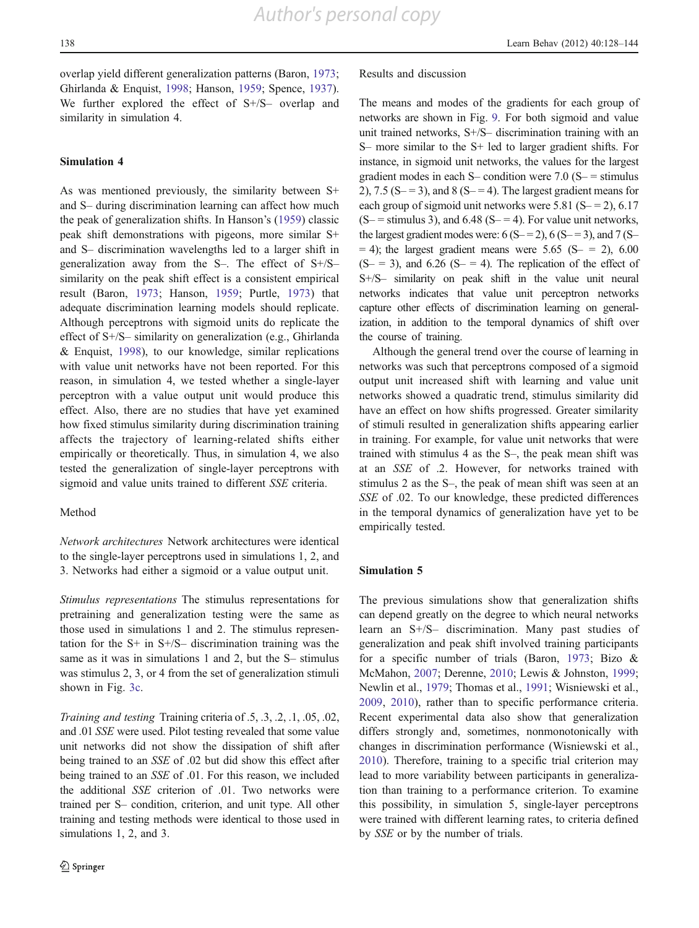overlap yield different generalization patterns (Baron, [1973](#page-15-0); Ghirlanda & Enquist, [1998;](#page-15-0) Hanson, [1959](#page-15-0); Spence, [1937](#page-16-0)). We further explored the effect of S+/S– overlap and similarity in simulation 4.

# Simulation 4

As was mentioned previously, the similarity between S+ and S– during discrimination learning can affect how much the peak of generalization shifts. In Hanson's [\(1959\)](#page-15-0) classic peak shift demonstrations with pigeons, more similar S+ and S– discrimination wavelengths led to a larger shift in generalization away from the S–. The effect of S+/S– similarity on the peak shift effect is a consistent empirical result (Baron, [1973](#page-15-0); Hanson, [1959;](#page-15-0) Purtle, [1973\)](#page-16-0) that adequate discrimination learning models should replicate. Although perceptrons with sigmoid units do replicate the effect of S+/S– similarity on generalization (e.g., Ghirlanda & Enquist, [1998\)](#page-15-0), to our knowledge, similar replications with value unit networks have not been reported. For this reason, in simulation 4, we tested whether a single-layer perceptron with a value output unit would produce this effect. Also, there are no studies that have yet examined how fixed stimulus similarity during discrimination training affects the trajectory of learning-related shifts either empirically or theoretically. Thus, in simulation 4, we also tested the generalization of single-layer perceptrons with sigmoid and value units trained to different SSE criteria.

#### Method

Network architectures Network architectures were identical to the single-layer perceptrons used in simulations 1, 2, and 3. Networks had either a sigmoid or a value output unit.

Stimulus representations The stimulus representations for pretraining and generalization testing were the same as those used in simulations 1 and 2. The stimulus representation for the  $S+$  in  $S+/S-$  discrimination training was the same as it was in simulations 1 and 2, but the S– stimulus was stimulus 2, 3, or 4 from the set of generalization stimuli shown in Fig. [3c.](#page-4-0)

Training and testing Training criteria of .5, .3, .2, .1, .05, .02, and .01 SSE were used. Pilot testing revealed that some value unit networks did not show the dissipation of shift after being trained to an SSE of .02 but did show this effect after being trained to an SSE of .01. For this reason, we included the additional SSE criterion of .01. Two networks were trained per S– condition, criterion, and unit type. All other training and testing methods were identical to those used in simulations 1, 2, and 3.

#### Results and discussion

The means and modes of the gradients for each group of networks are shown in Fig. [9](#page-11-0). For both sigmoid and value unit trained networks, S+/S– discrimination training with an S– more similar to the S+ led to larger gradient shifts. For instance, in sigmoid unit networks, the values for the largest gradient modes in each S– condition were  $7.0$  (S–  $=$  stimulus 2), 7.5 (S $-$  = 3), and 8 (S $-$  = 4). The largest gradient means for each group of sigmoid unit networks were  $5.81$  (S– = 2), 6.17  $(S - \text{estimulus 3})$ , and 6.48  $(S - \text{= 4})$ . For value unit networks, the largest gradient modes were:  $6(S = 2)$ ,  $6(S = 3)$ , and  $7(S = 1)$  $= 4$ ); the largest gradient means were 5.65 (S  $= 2$ ), 6.00  $(S = 3)$ , and 6.26  $(S = 4)$ . The replication of the effect of S+/S– similarity on peak shift in the value unit neural networks indicates that value unit perceptron networks capture other effects of discrimination learning on generalization, in addition to the temporal dynamics of shift over the course of training.

Although the general trend over the course of learning in networks was such that perceptrons composed of a sigmoid output unit increased shift with learning and value unit networks showed a quadratic trend, stimulus similarity did have an effect on how shifts progressed. Greater similarity of stimuli resulted in generalization shifts appearing earlier in training. For example, for value unit networks that were trained with stimulus 4 as the S–, the peak mean shift was at an SSE of .2. However, for networks trained with stimulus 2 as the S–, the peak of mean shift was seen at an SSE of .02. To our knowledge, these predicted differences in the temporal dynamics of generalization have yet to be empirically tested.

#### Simulation 5

The previous simulations show that generalization shifts can depend greatly on the degree to which neural networks learn an S+/S– discrimination. Many past studies of generalization and peak shift involved training participants for a specific number of trials (Baron, [1973;](#page-15-0) Bizo & McMahon, [2007;](#page-15-0) Derenne, [2010](#page-15-0); Lewis & Johnston, [1999;](#page-15-0) Newlin et al., [1979;](#page-15-0) Thomas et al., [1991;](#page-16-0) Wisniewski et al., [2009](#page-16-0), [2010](#page-16-0)), rather than to specific performance criteria. Recent experimental data also show that generalization differs strongly and, sometimes, nonmonotonically with changes in discrimination performance (Wisniewski et al., [2010](#page-16-0)). Therefore, training to a specific trial criterion may lead to more variability between participants in generalization than training to a performance criterion. To examine this possibility, in simulation 5, single-layer perceptrons were trained with different learning rates, to criteria defined by SSE or by the number of trials.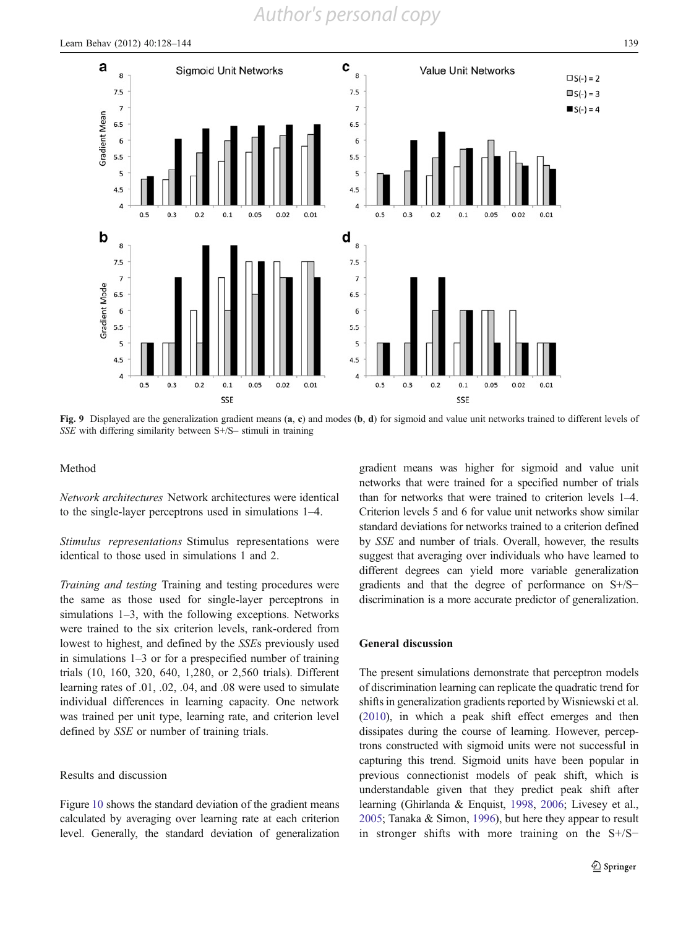

Fig. 9 Displayed are the generalization gradient means (a, c) and modes (b, d) for sigmoid and value unit networks trained to different levels of SSE with differing similarity between S+/S– stimuli in training

#### Method

Network architectures Network architectures were identical to the single-layer perceptrons used in simulations 1–4.

Stimulus representations Stimulus representations were identical to those used in simulations 1 and 2.

Training and testing Training and testing procedures were the same as those used for single-layer perceptrons in simulations 1–3, with the following exceptions. Networks were trained to the six criterion levels, rank-ordered from lowest to highest, and defined by the SSEs previously used in simulations 1–3 or for a prespecified number of training trials (10, 160, 320, 640, 1,280, or 2,560 trials). Different learning rates of .01, .02, .04, and .08 were used to simulate individual differences in learning capacity. One network was trained per unit type, learning rate, and criterion level defined by SSE or number of training trials.

#### Results and discussion

<span id="page-11-0"></span>Figure [10](#page-12-0) shows the standard deviation of the gradient means calculated by averaging over learning rate at each criterion level. Generally, the standard deviation of generalization gradient means was higher for sigmoid and value unit networks that were trained for a specified number of trials than for networks that were trained to criterion levels 1–4. Criterion levels 5 and 6 for value unit networks show similar standard deviations for networks trained to a criterion defined by SSE and number of trials. Overall, however, the results suggest that averaging over individuals who have learned to different degrees can yield more variable generalization gradients and that the degree of performance on S+/S− discrimination is a more accurate predictor of generalization.

#### General discussion

The present simulations demonstrate that perceptron models of discrimination learning can replicate the quadratic trend for shifts in generalization gradients reported by Wisniewski et al. [\(2010\)](#page-16-0), in which a peak shift effect emerges and then dissipates during the course of learning. However, perceptrons constructed with sigmoid units were not successful in capturing this trend. Sigmoid units have been popular in previous connectionist models of peak shift, which is understandable given that they predict peak shift after learning (Ghirlanda & Enquist, [1998,](#page-15-0) [2006](#page-15-0); Livesey et al., [2005;](#page-15-0) Tanaka & Simon, [1996](#page-16-0)), but here they appear to result in stronger shifts with more training on the S+/S−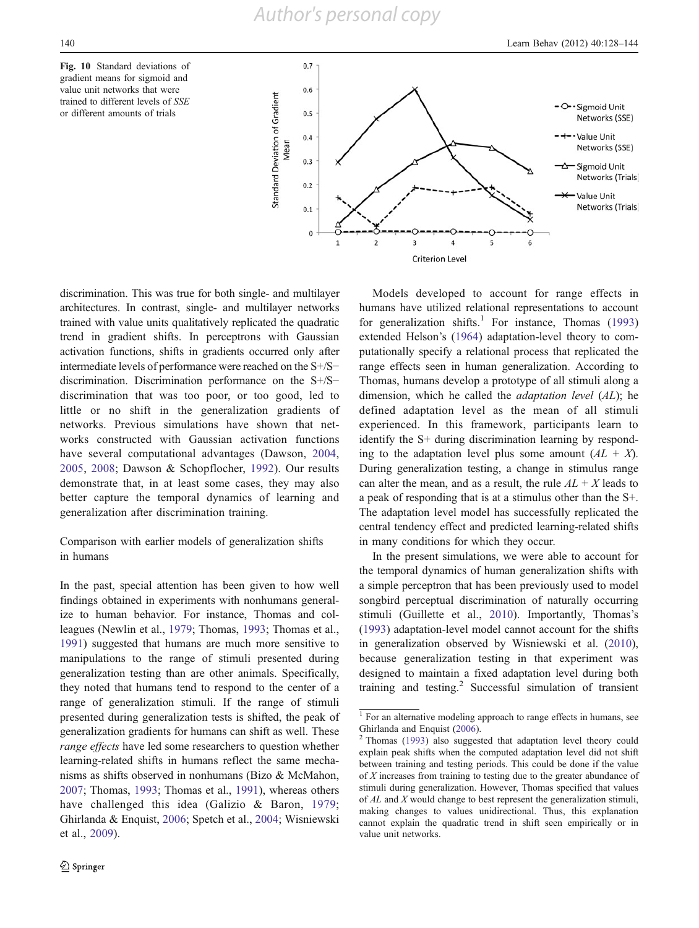



discrimination. This was true for both single- and multilayer architectures. In contrast, single- and multilayer networks trained with value units qualitatively replicated the quadratic trend in gradient shifts. In perceptrons with Gaussian activation functions, shifts in gradients occurred only after intermediate levels of performance were reached on the S+/S− discrimination. Discrimination performance on the S+/S− discrimination that was too poor, or too good, led to little or no shift in the generalization gradients of networks. Previous simulations have shown that networks constructed with Gaussian activation functions have several computational advantages (Dawson, [2004,](#page-15-0) [2005](#page-15-0), [2008](#page-15-0); Dawson & Schopflocher, [1992\)](#page-15-0). Our results demonstrate that, in at least some cases, they may also better capture the temporal dynamics of learning and generalization after discrimination training.

# Comparison with earlier models of generalization shifts in humans

<span id="page-12-0"></span>In the past, special attention has been given to how well findings obtained in experiments with nonhumans generalize to human behavior. For instance, Thomas and colleagues (Newlin et al., [1979;](#page-15-0) Thomas, [1993;](#page-16-0) Thomas et al., [1991\)](#page-16-0) suggested that humans are much more sensitive to manipulations to the range of stimuli presented during generalization testing than are other animals. Specifically, they noted that humans tend to respond to the center of a range of generalization stimuli. If the range of stimuli presented during generalization tests is shifted, the peak of generalization gradients for humans can shift as well. These range effects have led some researchers to question whether learning-related shifts in humans reflect the same mechanisms as shifts observed in nonhumans (Bizo & McMahon, [2007;](#page-15-0) Thomas, [1993](#page-16-0); Thomas et al., [1991\)](#page-16-0), whereas others have challenged this idea (Galizio & Baron, [1979](#page-15-0); Ghirlanda & Enquist, [2006;](#page-15-0) Spetch et al., [2004](#page-16-0); Wisniewski et al., [2009\)](#page-16-0).

Models developed to account for range effects in humans have utilized relational representations to account for generalization shifts.<sup>1</sup> For instance, Thomas  $(1993)$  $(1993)$ extended Helson's ([1964\)](#page-15-0) adaptation-level theory to computationally specify a relational process that replicated the range effects seen in human generalization. According to Thomas, humans develop a prototype of all stimuli along a dimension, which he called the adaptation level (AL); he defined adaptation level as the mean of all stimuli experienced. In this framework, participants learn to identify the S+ during discrimination learning by responding to the adaptation level plus some amount  $(AL + X)$ . During generalization testing, a change in stimulus range can alter the mean, and as a result, the rule  $AL + X$  leads to a peak of responding that is at a stimulus other than the S+. The adaptation level model has successfully replicated the central tendency effect and predicted learning-related shifts in many conditions for which they occur.

In the present simulations, we were able to account for the temporal dynamics of human generalization shifts with a simple perceptron that has been previously used to model songbird perceptual discrimination of naturally occurring stimuli (Guillette et al., [2010](#page-15-0)). Importantly, Thomas's [\(1993](#page-16-0)) adaptation-level model cannot account for the shifts in generalization observed by Wisniewski et al. ([2010\)](#page-16-0), because generalization testing in that experiment was designed to maintain a fixed adaptation level during both training and testing. $\frac{2}{3}$  Successful simulation of transient

<sup>&</sup>lt;sup>1</sup> For an alternative modeling approach to range effects in humans, see Ghirlanda and Enquist ([2006\)](#page-15-0).

<sup>2</sup> Thomas ([1993](#page-16-0)) also suggested that adaptation level theory could explain peak shifts when the computed adaptation level did not shift between training and testing periods. This could be done if the value of X increases from training to testing due to the greater abundance of stimuli during generalization. However, Thomas specified that values of AL and X would change to best represent the generalization stimuli, making changes to values unidirectional. Thus, this explanation cannot explain the quadratic trend in shift seen empirically or in value unit networks.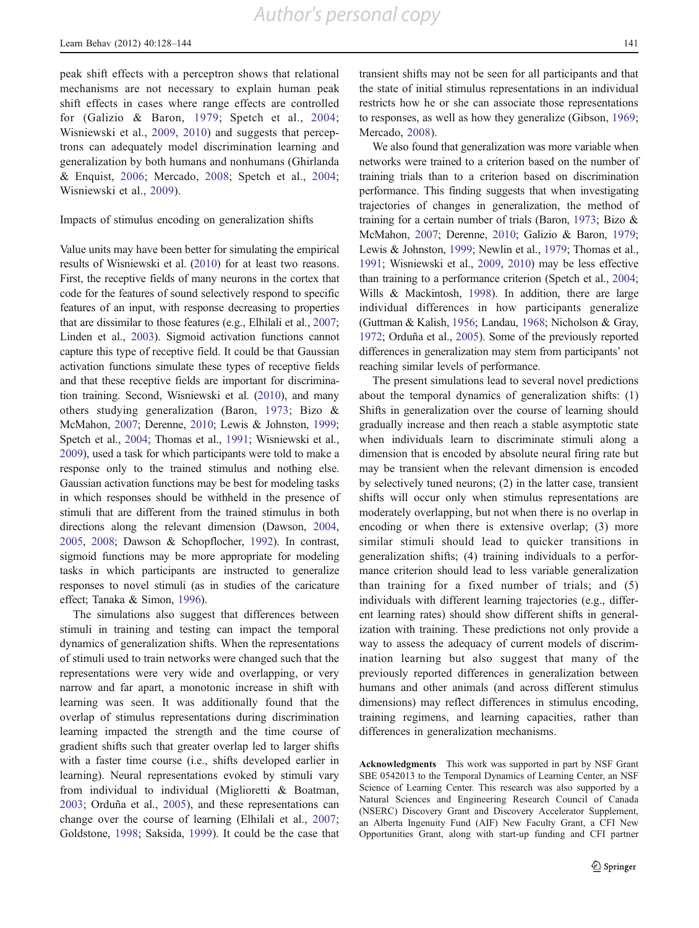peak shift effects with a perceptron shows that relational mechanisms are not necessary to explain human peak shift effects in cases where range effects are controlled for (Galizio & Baron, [1979;](#page-15-0) Spetch et al., [2004](#page-16-0); Wisniewski et al., [2009,](#page-16-0) [2010](#page-16-0)) and suggests that perceptrons can adequately model discrimination learning and generalization by both humans and nonhumans (Ghirlanda & Enquist, [2006](#page-15-0); Mercado, [2008](#page-15-0); Spetch et al., [2004](#page-16-0); Wisniewski et al., [2009](#page-16-0)).

# Impacts of stimulus encoding on generalization shifts

Value units may have been better for simulating the empirical results of Wisniewski et al. [\(2010\)](#page-16-0) for at least two reasons. First, the receptive fields of many neurons in the cortex that code for the features of sound selectively respond to specific features of an input, with response decreasing to properties that are dissimilar to those features (e.g., Elhilali et al., [2007](#page-15-0); Linden et al., [2003](#page-15-0)). Sigmoid activation functions cannot capture this type of receptive field. It could be that Gaussian activation functions simulate these types of receptive fields and that these receptive fields are important for discrimination training. Second, Wisniewski et al. ([2010](#page-16-0)), and many others studying generalization (Baron, [1973](#page-15-0); Bizo & McMahon, [2007](#page-15-0); Derenne, [2010;](#page-15-0) Lewis & Johnston, [1999](#page-15-0); Spetch et al., [2004;](#page-16-0) Thomas et al., [1991;](#page-16-0) Wisniewski et al., [2009\)](#page-16-0), used a task for which participants were told to make a response only to the trained stimulus and nothing else. Gaussian activation functions may be best for modeling tasks in which responses should be withheld in the presence of stimuli that are different from the trained stimulus in both directions along the relevant dimension (Dawson, [2004,](#page-15-0) [2005,](#page-15-0) [2008;](#page-15-0) Dawson & Schopflocher, [1992\)](#page-15-0). In contrast, sigmoid functions may be more appropriate for modeling tasks in which participants are instructed to generalize responses to novel stimuli (as in studies of the caricature effect; Tanaka & Simon, [1996](#page-16-0)).

The simulations also suggest that differences between stimuli in training and testing can impact the temporal dynamics of generalization shifts. When the representations of stimuli used to train networks were changed such that the representations were very wide and overlapping, or very narrow and far apart, a monotonic increase in shift with learning was seen. It was additionally found that the overlap of stimulus representations during discrimination learning impacted the strength and the time course of gradient shifts such that greater overlap led to larger shifts with a faster time course (i.e., shifts developed earlier in learning). Neural representations evoked by stimuli vary from individual to individual (Miglioretti & Boatman, [2003;](#page-15-0) Orduña et al., [2005\)](#page-16-0), and these representations can change over the course of learning (Elhilali et al., [2007](#page-15-0); Goldstone, [1998;](#page-15-0) Saksida, [1999\)](#page-16-0). It could be the case that transient shifts may not be seen for all participants and that the state of initial stimulus representations in an individual restricts how he or she can associate those representations to responses, as well as how they generalize (Gibson, [1969;](#page-15-0) Mercado, [2008\)](#page-15-0).

We also found that generalization was more variable when networks were trained to a criterion based on the number of training trials than to a criterion based on discrimination performance. This finding suggests that when investigating trajectories of changes in generalization, the method of training for a certain number of trials (Baron, [1973](#page-15-0); Bizo & McMahon, [2007](#page-15-0); Derenne, [2010;](#page-15-0) Galizio & Baron, [1979;](#page-15-0) Lewis & Johnston, [1999](#page-15-0); Newlin et al., [1979](#page-15-0); Thomas et al., [1991;](#page-16-0) Wisniewski et al., [2009,](#page-16-0) [2010](#page-16-0)) may be less effective than training to a performance criterion (Spetch et al., [2004;](#page-16-0) Wills & Mackintosh, [1998\)](#page-16-0). In addition, there are large individual differences in how participants generalize (Guttman & Kalish, [1956;](#page-15-0) Landau, [1968](#page-15-0); Nicholson & Gray, [1972;](#page-16-0) Orduña et al., [2005](#page-16-0)). Some of the previously reported differences in generalization may stem from participants' not reaching similar levels of performance.

The present simulations lead to several novel predictions about the temporal dynamics of generalization shifts: (1) Shifts in generalization over the course of learning should gradually increase and then reach a stable asymptotic state when individuals learn to discriminate stimuli along a dimension that is encoded by absolute neural firing rate but may be transient when the relevant dimension is encoded by selectively tuned neurons; (2) in the latter case, transient shifts will occur only when stimulus representations are moderately overlapping, but not when there is no overlap in encoding or when there is extensive overlap; (3) more similar stimuli should lead to quicker transitions in generalization shifts; (4) training individuals to a performance criterion should lead to less variable generalization than training for a fixed number of trials; and (5) individuals with different learning trajectories (e.g., different learning rates) should show different shifts in generalization with training. These predictions not only provide a way to assess the adequacy of current models of discrimination learning but also suggest that many of the previously reported differences in generalization between humans and other animals (and across different stimulus dimensions) may reflect differences in stimulus encoding, training regimens, and learning capacities, rather than differences in generalization mechanisms.

Acknowledgments This work was supported in part by NSF Grant SBE 0542013 to the Temporal Dynamics of Learning Center, an NSF Science of Learning Center. This research was also supported by a Natural Sciences and Engineering Research Council of Canada (NSERC) Discovery Grant and Discovery Accelerator Supplement, an Alberta Ingenuity Fund (AIF) New Faculty Grant, a CFI New Opportunities Grant, along with start-up funding and CFI partner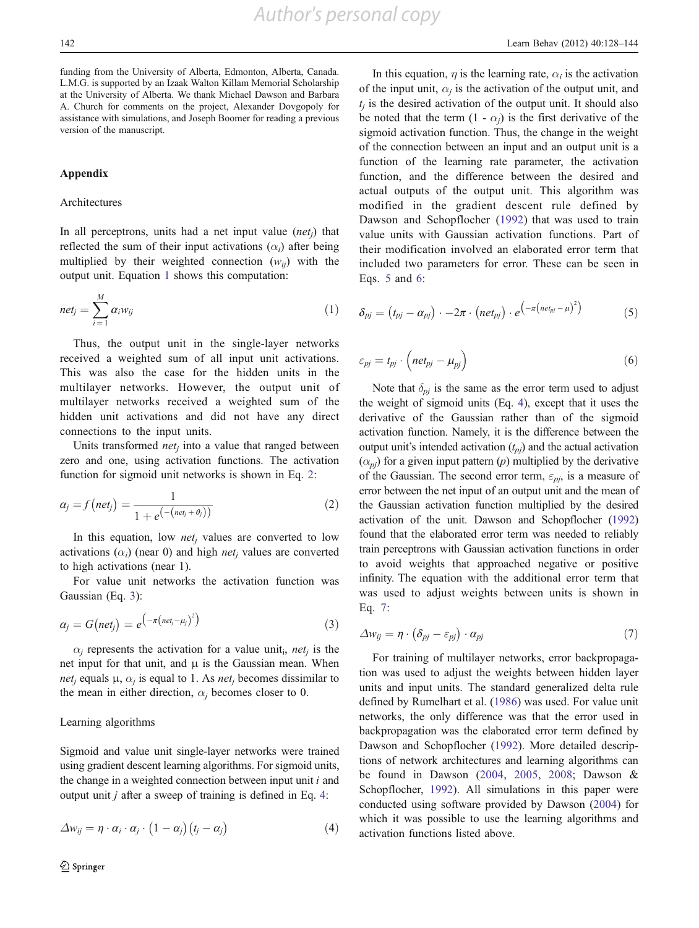funding from the University of Alberta, Edmonton, Alberta, Canada. L.M.G. is supported by an Izaak Walton Killam Memorial Scholarship at the University of Alberta. We thank Michael Dawson and Barbara A. Church for comments on the project, Alexander Dovgopoly for assistance with simulations, and Joseph Boomer for reading a previous version of the manuscript.

#### Appendix

#### Architectures

In all perceptrons, units had a net input value  $(ne, t)$  that reflected the sum of their input activations  $(\alpha_i)$  after being multiplied by their weighted connection  $(w_{ii})$  with the output unit. Equation [1](#page-14-0) shows this computation:

$$
net_j = \sum_{i=1}^{M} \alpha_i w_{ij} \tag{1}
$$

Thus, the output unit in the single-layer networks received a weighted sum of all input unit activations. This was also the case for the hidden units in the multilayer networks. However, the output unit of multilayer networks received a weighted sum of the hidden unit activations and did not have any direct connections to the input units.

Units transformed *net<sub>i</sub>* into a value that ranged between zero and one, using activation functions. The activation function for sigmoid unit networks is shown in Eq. [2](#page-14-0):

$$
\alpha_j = f\left(n e t_j\right) = \frac{1}{1 + e^{\left(-\left(n e t_j + \theta_j\right)\right)}}\tag{2}
$$

In this equation, low *net<sub>i</sub>* values are converted to low activations  $(\alpha_i)$  (near 0) and high *net<sub>i</sub>* values are converted to high activations (near 1).

For value unit networks the activation function was Gaussian (Eq. [3\)](#page-14-0):

$$
\alpha_j = G(net_j) = e^{-\pi \left(net_j - \mu_j\right)^2} \tag{3}
$$

 $\alpha_i$  represents the activation for a value unit<sub>i</sub>, net<sub>i</sub> is the net input for that unit, and  $\mu$  is the Gaussian mean. When *net<sub>i</sub>* equals  $\mu$ ,  $\alpha$ *i* is equal to 1. As *net<sub>i</sub>* becomes dissimilar to the mean in either direction,  $\alpha_i$  becomes closer to 0.

#### Learning algorithms

Sigmoid and value unit single-layer networks were trained using gradient descent learning algorithms. For sigmoid units, the change in a weighted connection between input unit  $i$  and output unit j after a sweep of training is defined in Eq. [4:](#page-14-0)

<span id="page-14-0"></span>
$$
\Delta w_{ij} = \eta \cdot \alpha_i \cdot \alpha_j \cdot (1 - \alpha_j)(t_j - \alpha_j)
$$
\n(4)

In this equation,  $\eta$  is the learning rate,  $\alpha_i$  is the activation of the input unit,  $\alpha_i$  is the activation of the output unit, and  $t_i$  is the desired activation of the output unit. It should also be noted that the term  $(1 - \alpha_i)$  is the first derivative of the sigmoid activation function. Thus, the change in the weight of the connection between an input and an output unit is a function of the learning rate parameter, the activation function, and the difference between the desired and actual outputs of the output unit. This algorithm was modified in the gradient descent rule defined by Dawson and Schopflocher ([1992](#page-15-0)) that was used to train value units with Gaussian activation functions. Part of their modification involved an elaborated error term that included two parameters for error. These can be seen in Eqs. [5](#page-14-0) and [6:](#page-14-0)

$$
\delta_{pj} = (t_{pj} - \alpha_{pj}) \cdot -2\pi \cdot (net_{pj}) \cdot e^{(-\pi (net_{pj} - \mu)^2)}
$$
(5)

$$
\varepsilon_{pj} = t_{pj} \cdot \left( net_{pj} - \mu_{pj} \right) \tag{6}
$$

Note that  $\delta_{pj}$  is the same as the error term used to adjust the weight of sigmoid units (Eq. [4](#page-14-0)), except that it uses the derivative of the Gaussian rather than of the sigmoid activation function. Namely, it is the difference between the output unit's intended activation  $(t_{pj})$  and the actual activation  $(\alpha_{pi})$  for a given input pattern (p) multiplied by the derivative of the Gaussian. The second error term,  $\varepsilon_{pi}$ , is a measure of error between the net input of an output unit and the mean of the Gaussian activation function multiplied by the desired activation of the unit. Dawson and Schopflocher ([1992](#page-15-0)) found that the elaborated error term was needed to reliably train perceptrons with Gaussian activation functions in order to avoid weights that approached negative or positive infinity. The equation with the additional error term that was used to adjust weights between units is shown in Eq. [7:](#page-14-0)

$$
\Delta w_{ij} = \eta \cdot (\delta_{pj} - \varepsilon_{pj}) \cdot \alpha_{pj} \tag{7}
$$

For training of multilayer networks, error backpropagation was used to adjust the weights between hidden layer units and input units. The standard generalized delta rule defined by Rumelhart et al. ([1986\)](#page-16-0) was used. For value unit networks, the only difference was that the error used in backpropagation was the elaborated error term defined by Dawson and Schopflocher ([1992\)](#page-15-0). More detailed descriptions of network architectures and learning algorithms can be found in Dawson ([2004](#page-15-0), [2005,](#page-15-0) [2008;](#page-15-0) Dawson & Schopflocher, [1992](#page-15-0)). All simulations in this paper were conducted using software provided by Dawson ([2004\)](#page-15-0) for which it was possible to use the learning algorithms and activation functions listed above.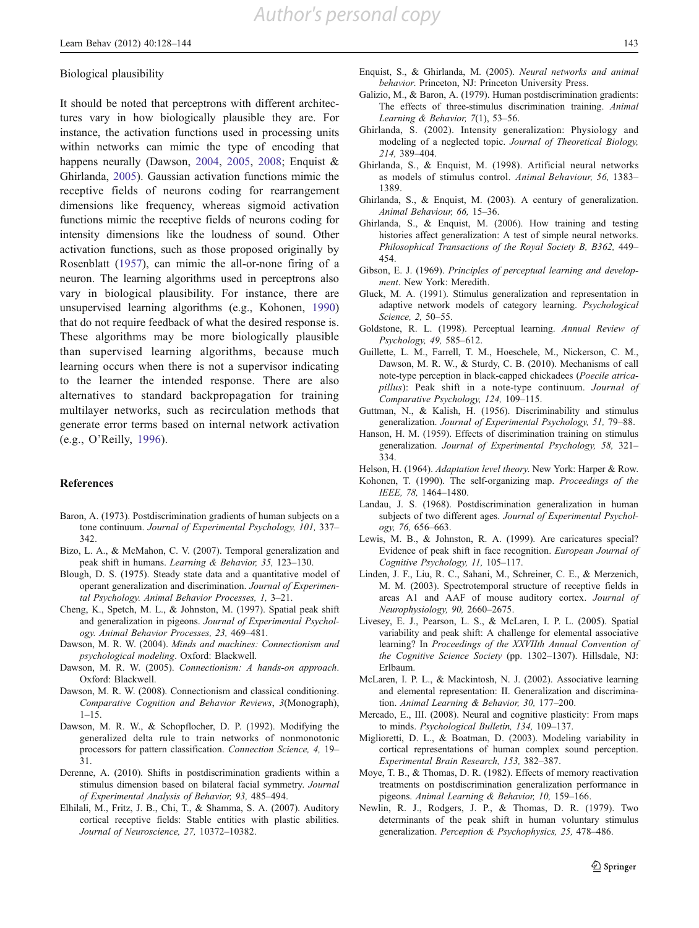#### Biological plausibility

It should be noted that perceptrons with different architectures vary in how biologically plausible they are. For instance, the activation functions used in processing units within networks can mimic the type of encoding that happens neurally (Dawson, 2004, 2005, 2008; Enquist & Ghirlanda, 2005). Gaussian activation functions mimic the receptive fields of neurons coding for rearrangement dimensions like frequency, whereas sigmoid activation functions mimic the receptive fields of neurons coding for intensity dimensions like the loudness of sound. Other activation functions, such as those proposed originally by Rosenblatt (1957), can mimic the all-or-none firing of a neuron. The learning algorithms used in perceptrons also vary in biological plausibility. For instance, there are unsupervised learning algorithms (e.g., Kohonen, 1990) that do not require feedback of what the desired response is. These algorithms may be more biologically plausible than supervised learning algorithms, because much learning occurs when there is not a supervisor indicating to the learner the intended response. There are also alternatives to standard backpropagation for training multilayer networks, such as recirculation methods that generate error terms based on internal network activation (e.g., O'Reilly, 1996).

#### References

- Baron, A. (1973). Postdiscrimination gradients of human subjects on a tone continuum. Journal of Experimental Psychology, 101, 337– 342.
- Bizo, L. A., & McMahon, C. V. (2007). Temporal generalization and peak shift in humans. Learning & Behavior, 35, 123–130.
- Blough, D. S. (1975). Steady state data and a quantitative model of operant generalization and discrimination. Journal of Experimental Psychology. Animal Behavior Processes, 1, 3–21.
- Cheng, K., Spetch, M. L., & Johnston, M. (1997). Spatial peak shift and generalization in pigeons. Journal of Experimental Psychology. Animal Behavior Processes, 23, 469–481.
- Dawson, M. R. W. (2004). Minds and machines: Connectionism and psychological modeling. Oxford: Blackwell.
- Dawson, M. R. W. (2005). Connectionism: A hands-on approach. Oxford: Blackwell.
- Dawson, M. R. W. (2008). Connectionism and classical conditioning. Comparative Cognition and Behavior Reviews, 3(Monograph),  $1 - 15$
- Dawson, M. R. W., & Schopflocher, D. P. (1992). Modifying the generalized delta rule to train networks of nonmonotonic processors for pattern classification. Connection Science, 4, 19– 31.
- Derenne, A. (2010). Shifts in postdiscrimination gradients within a stimulus dimension based on bilateral facial symmetry. Journal of Experimental Analysis of Behavior, 93, 485–494.
- <span id="page-15-0"></span>Elhilali, M., Fritz, J. B., Chi, T., & Shamma, S. A. (2007). Auditory cortical receptive fields: Stable entities with plastic abilities. Journal of Neuroscience, 27, 10372–10382.
- Enquist, S., & Ghirlanda, M. (2005). Neural networks and animal behavior. Princeton, NJ: Princeton University Press.
- Galizio, M., & Baron, A. (1979). Human postdiscrimination gradients: The effects of three-stimulus discrimination training. Animal Learning & Behavior, 7(1), 53–56.
- Ghirlanda, S. (2002). Intensity generalization: Physiology and modeling of a neglected topic. Journal of Theoretical Biology, 214, 389–404.
- Ghirlanda, S., & Enquist, M. (1998). Artificial neural networks as models of stimulus control. Animal Behaviour, 56, 1383– 1389.
- Ghirlanda, S., & Enquist, M. (2003). A century of generalization. Animal Behaviour, 66, 15–36.
- Ghirlanda, S., & Enquist, M. (2006). How training and testing histories affect generalization: A test of simple neural networks. Philosophical Transactions of the Royal Society B, B362, 449– 454.
- Gibson, E. J. (1969). Principles of perceptual learning and development. New York: Meredith.
- Gluck, M. A. (1991). Stimulus generalization and representation in adaptive network models of category learning. Psychological Science, 2, 50–55.
- Goldstone, R. L. (1998). Perceptual learning. Annual Review of Psychology, 49, 585–612.
- Guillette, L. M., Farrell, T. M., Hoeschele, M., Nickerson, C. M., Dawson, M. R. W., & Sturdy, C. B. (2010). Mechanisms of call note-type perception in black-capped chickadees (Poecile atricapillus): Peak shift in a note-type continuum. Journal of Comparative Psychology, 124, 109–115.
- Guttman, N., & Kalish, H. (1956). Discriminability and stimulus generalization. Journal of Experimental Psychology, 51, 79–88.
- Hanson, H. M. (1959). Effects of discrimination training on stimulus generalization. Journal of Experimental Psychology, 58, 321– 334.

Helson, H. (1964). Adaptation level theory. New York: Harper & Row.

Kohonen, T. (1990). The self-organizing map. Proceedings of the IEEE, 78, 1464–1480.

- Landau, J. S. (1968). Postdiscrimination generalization in human subjects of two different ages. Journal of Experimental Psychology, 76, 656–663.
- Lewis, M. B., & Johnston, R. A. (1999). Are caricatures special? Evidence of peak shift in face recognition. European Journal of Cognitive Psychology, 11, 105–117.
- Linden, J. F., Liu, R. C., Sahani, M., Schreiner, C. E., & Merzenich, M. M. (2003). Spectrotemporal structure of receptive fields in areas A1 and AAF of mouse auditory cortex. Journal of Neurophysiology, 90, 2660–2675.
- Livesey, E. J., Pearson, L. S., & McLaren, I. P. L. (2005). Spatial variability and peak shift: A challenge for elemental associative learning? In Proceedings of the XXVIIth Annual Convention of the Cognitive Science Society (pp. 1302–1307). Hillsdale, NJ: Erlbaum.
- McLaren, I. P. L., & Mackintosh, N. J. (2002). Associative learning and elemental representation: II. Generalization and discrimination. Animal Learning & Behavior, 30, 177–200.
- Mercado, E., III. (2008). Neural and cognitive plasticity: From maps to minds. Psychological Bulletin, 134, 109–137.
- Miglioretti, D. L., & Boatman, D. (2003). Modeling variability in cortical representations of human complex sound perception. Experimental Brain Research, 153, 382–387.
- Moye, T. B., & Thomas, D. R. (1982). Effects of memory reactivation treatments on postdiscrimination generalization performance in pigeons. Animal Learning & Behavior, 10, 159–166.
- Newlin, R. J., Rodgers, J. P., & Thomas, D. R. (1979). Two determinants of the peak shift in human voluntary stimulus generalization. Perception & Psychophysics, 25, 478–486.